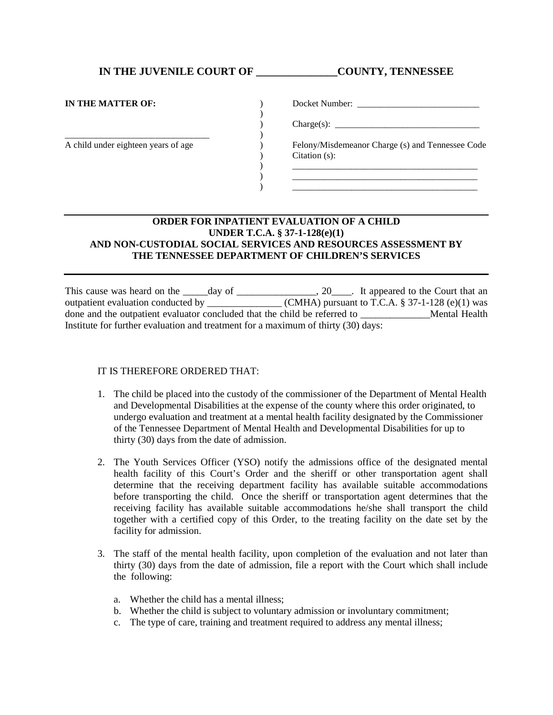## **IN THE JUVENILE COURT OF \_\_\_\_\_\_\_\_\_\_\_\_\_\_\_COUNTY, TENNESSEE**

| IN THE MATTER OF:                   | Docket Number:                                                       |
|-------------------------------------|----------------------------------------------------------------------|
|                                     | $\text{Change}(s):$                                                  |
| A child under eighteen years of age | Felony/Misdemeanor Charge (s) and Tennessee Code<br>Citation $(s)$ : |
|                                     |                                                                      |

## **ORDER FOR INPATIENT EVALUATION OF A CHILD UNDER T.C.A. § 37-1-128(e)(1) AND NON-CUSTODIAL SOCIAL SERVICES AND RESOURCES ASSESSMENT BY THE TENNESSEE DEPARTMENT OF CHILDREN'S SERVICES**

This cause was heard on the \_\_\_\_\_day of \_\_\_\_\_\_\_\_\_\_\_\_\_\_\_, 20\_\_\_\_. It appeared to the Court that an outpatient evaluation conducted by \_\_\_\_\_\_\_\_\_\_\_\_\_\_\_\_\_(CMHA) pursuant to T.C.A.  $\S 37-1-128$  (e)(1) was done and the outpatient evaluator concluded that the child be referred to **Example 20** Mental Health Institute for further evaluation and treatment for a maximum of thirty (30) days:

## IT IS THEREFORE ORDERED THAT:

- 1. The child be placed into the custody of the commissioner of the Department of Mental Health and Developmental Disabilities at the expense of the county where this order originated, to undergo evaluation and treatment at a mental health facility designated by the Commissioner of the Tennessee Department of Mental Health and Developmental Disabilities for up to thirty (30) days from the date of admission.
- 2. The Youth Services Officer (YSO) notify the admissions office of the designated mental health facility of this Court's Order and the sheriff or other transportation agent shall determine that the receiving department facility has available suitable accommodations before transporting the child. Once the sheriff or transportation agent determines that the receiving facility has available suitable accommodations he/she shall transport the child together with a certified copy of this Order, to the treating facility on the date set by the facility for admission.
- 3. The staff of the mental health facility, upon completion of the evaluation and not later than thirty (30) days from the date of admission, file a report with the Court which shall include the following:
	- a. Whether the child has a mental illness;
	- b. Whether the child is subject to voluntary admission or involuntary commitment;
	- c. The type of care, training and treatment required to address any mental illness;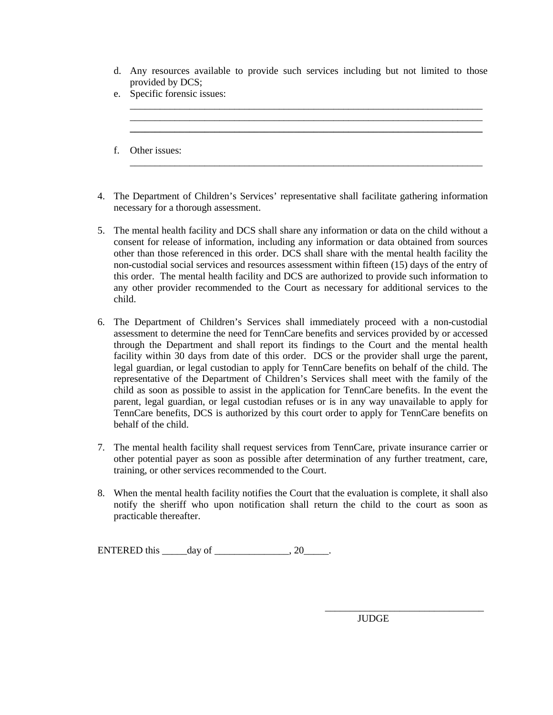d. Any resources available to provide such services including but not limited to those provided by DCS;

\_\_\_\_\_\_\_\_\_\_\_\_\_\_\_\_\_\_\_\_\_\_\_\_\_\_\_\_\_\_\_\_\_\_\_\_\_\_\_\_\_\_\_\_\_\_\_\_\_\_\_\_\_\_\_\_\_\_\_\_\_\_\_\_\_\_\_\_\_\_\_ \_\_\_\_\_\_\_\_\_\_\_\_\_\_\_\_\_\_\_\_\_\_\_\_\_\_\_\_\_\_\_\_\_\_\_\_\_\_\_\_\_\_\_\_\_\_\_\_\_\_\_\_\_\_\_\_\_\_\_\_\_\_\_\_\_\_\_\_\_\_\_ **\_\_\_\_\_\_\_\_\_\_\_\_\_\_\_\_\_\_\_\_\_\_\_\_\_\_\_\_\_\_\_\_\_\_\_\_\_\_\_\_\_\_\_\_\_\_\_\_\_\_\_\_\_\_\_\_\_\_\_\_\_\_\_\_\_\_\_\_\_\_\_**

\_\_\_\_\_\_\_\_\_\_\_\_\_\_\_\_\_\_\_\_\_\_\_\_\_\_\_\_\_\_\_\_\_\_\_\_\_\_\_\_\_\_\_\_\_\_\_\_\_\_\_\_\_\_\_\_\_\_\_\_\_\_\_\_\_\_\_\_\_\_\_

- e. Specific forensic issues:
- f. Other issues:
- 4. The Department of Children's Services' representative shall facilitate gathering information necessary for a thorough assessment.
- 5. The mental health facility and DCS shall share any information or data on the child without a consent for release of information, including any information or data obtained from sources other than those referenced in this order. DCS shall share with the mental health facility the non-custodial social services and resources assessment within fifteen (15) days of the entry of this order. The mental health facility and DCS are authorized to provide such information to any other provider recommended to the Court as necessary for additional services to the child.
- 6. The Department of Children's Services shall immediately proceed with a non-custodial assessment to determine the need for TennCare benefits and services provided by or accessed through the Department and shall report its findings to the Court and the mental health facility within 30 days from date of this order. DCS or the provider shall urge the parent, legal guardian, or legal custodian to apply for TennCare benefits on behalf of the child. The representative of the Department of Children's Services shall meet with the family of the child as soon as possible to assist in the application for TennCare benefits. In the event the parent, legal guardian, or legal custodian refuses or is in any way unavailable to apply for TennCare benefits, DCS is authorized by this court order to apply for TennCare benefits on behalf of the child.
- 7. The mental health facility shall request services from TennCare, private insurance carrier or other potential payer as soon as possible after determination of any further treatment, care, training, or other services recommended to the Court.
- 8. When the mental health facility notifies the Court that the evaluation is complete, it shall also notify the sheriff who upon notification shall return the child to the court as soon as practicable thereafter.

ENTERED this \_\_\_\_\_day of \_\_\_\_\_\_\_\_\_\_\_\_\_\_\_, 20\_\_\_\_\_.

 $\overline{\phantom{a}}$  ,  $\overline{\phantom{a}}$  ,  $\overline{\phantom{a}}$  ,  $\overline{\phantom{a}}$  ,  $\overline{\phantom{a}}$  ,  $\overline{\phantom{a}}$  ,  $\overline{\phantom{a}}$  ,  $\overline{\phantom{a}}$  ,  $\overline{\phantom{a}}$  ,  $\overline{\phantom{a}}$  ,  $\overline{\phantom{a}}$  ,  $\overline{\phantom{a}}$  ,  $\overline{\phantom{a}}$  ,  $\overline{\phantom{a}}$  ,  $\overline{\phantom{a}}$  ,  $\overline{\phantom{a}}$ JUDGE